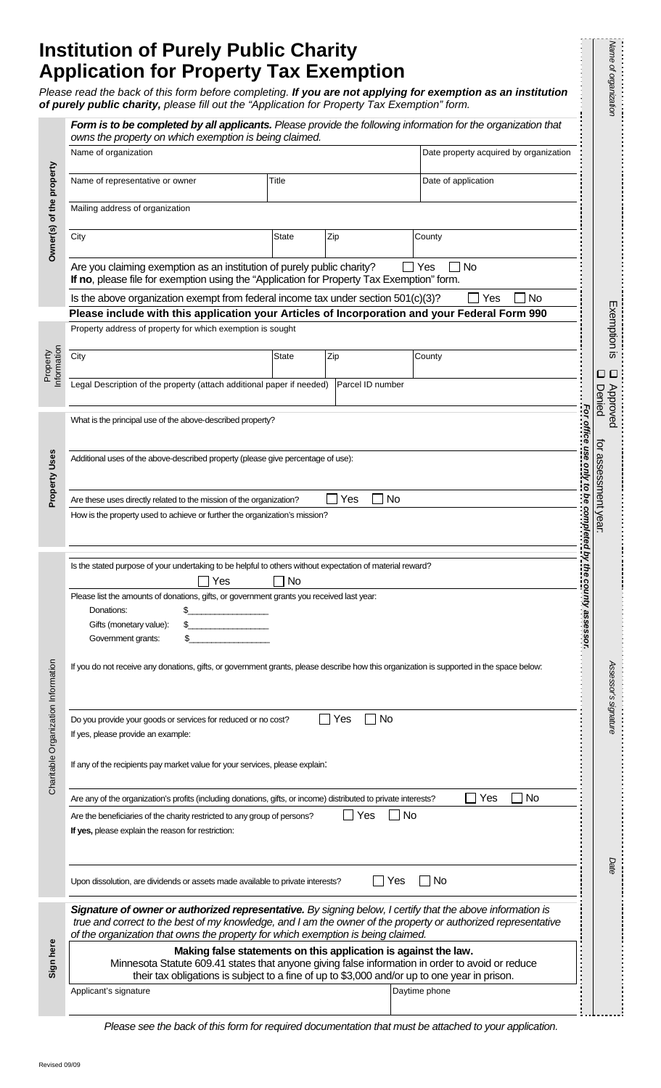# **Institution of Purely Public Charity Application for Property Tax Exemption**

Name of organizatio

|                                     | Please read the back of this form before completing. If you are not applying for exemption as an institution<br>of purely public charity, please fill out the "Application for Property Tax Exemption" form.<br>Form is to be completed by all applicants. Please provide the following information for the organization that |              |                  |                                                                                                                                                    |                                          | Name of organization  |  |  |
|-------------------------------------|-------------------------------------------------------------------------------------------------------------------------------------------------------------------------------------------------------------------------------------------------------------------------------------------------------------------------------|--------------|------------------|----------------------------------------------------------------------------------------------------------------------------------------------------|------------------------------------------|-----------------------|--|--|
|                                     | owns the property on which exemption is being claimed.<br>Name of organization<br>Date property acquired by organization                                                                                                                                                                                                      |              |                  |                                                                                                                                                    |                                          |                       |  |  |
| Owner(s) of the property            | Name of representative or owner                                                                                                                                                                                                                                                                                               | Title        |                  | Date of application                                                                                                                                |                                          |                       |  |  |
|                                     | Mailing address of organization                                                                                                                                                                                                                                                                                               |              |                  |                                                                                                                                                    |                                          |                       |  |  |
|                                     | City                                                                                                                                                                                                                                                                                                                          | State        | Zip              | County                                                                                                                                             |                                          |                       |  |  |
|                                     | Are you claiming exemption as an institution of purely public charity?<br>If no, please file for exemption using the "Application for Property Tax Exemption" form.                                                                                                                                                           |              |                  | Yes<br>No                                                                                                                                          |                                          |                       |  |  |
|                                     | Is the above organization exempt from federal income tax under section 501(c)(3)?                                                                                                                                                                                                                                             |              |                  | Yes<br>No                                                                                                                                          |                                          |                       |  |  |
|                                     | Please include with this application your Articles of Incorporation and your Federal Form 990<br>Property address of property for which exemption is sought                                                                                                                                                                   |              |                  |                                                                                                                                                    |                                          | Exemption is          |  |  |
|                                     | City                                                                                                                                                                                                                                                                                                                          | <b>State</b> | Zip              | County                                                                                                                                             |                                          |                       |  |  |
| nformation<br>Property              | Legal Description of the property (attach additional paper if needed)                                                                                                                                                                                                                                                         |              | Parcel ID number |                                                                                                                                                    |                                          | O                     |  |  |
|                                     |                                                                                                                                                                                                                                                                                                                               |              |                  |                                                                                                                                                    | Denied<br>-or office use only to be comp | Approved              |  |  |
| Property Uses                       | What is the principal use of the above-described property?                                                                                                                                                                                                                                                                    |              |                  |                                                                                                                                                    |                                          |                       |  |  |
|                                     | Additional uses of the above-described property (please give percentage of use):                                                                                                                                                                                                                                              |              |                  |                                                                                                                                                    |                                          | ਕ੍ਰ<br>assessment yea |  |  |
|                                     | No<br>Yes<br>Are these uses directly related to the mission of the organization?                                                                                                                                                                                                                                              |              |                  |                                                                                                                                                    |                                          |                       |  |  |
|                                     | How is the property used to achieve or further the organization's mission?                                                                                                                                                                                                                                                    |              |                  |                                                                                                                                                    |                                          | ∍                     |  |  |
| Charitable Organization Information | Is the stated purpose of your undertaking to be helpful to others without expectation of material reward?                                                                                                                                                                                                                     |              |                  |                                                                                                                                                    |                                          |                       |  |  |
|                                     | <b>No</b><br>Yes                                                                                                                                                                                                                                                                                                              |              |                  |                                                                                                                                                    |                                          |                       |  |  |
|                                     | Please list the amounts of donations, gifts, or government grants you received last year:<br>Donations:                                                                                                                                                                                                                       |              |                  |                                                                                                                                                    |                                          |                       |  |  |
|                                     | Gifts (monetary value):<br>Government grants:                                                                                                                                                                                                                                                                                 |              |                  |                                                                                                                                                    |                                          |                       |  |  |
|                                     | If you do not receive any donations, gifts, or government grants, please describe how this organization is supported in the space below:                                                                                                                                                                                      |              |                  |                                                                                                                                                    |                                          |                       |  |  |
|                                     |                                                                                                                                                                                                                                                                                                                               |              |                  |                                                                                                                                                    |                                          | Assessor's signature  |  |  |
|                                     | <b>No</b><br>Do you provide your goods or services for reduced or no cost?<br>Yes<br>If yes, please provide an example:                                                                                                                                                                                                       |              |                  |                                                                                                                                                    |                                          |                       |  |  |
|                                     | If any of the recipients pay market value for your services, please explain:                                                                                                                                                                                                                                                  |              |                  |                                                                                                                                                    |                                          |                       |  |  |
|                                     | <b>No</b><br>Are any of the organization's profits (including donations, gifts, or income) distributed to private interests?<br>Yes                                                                                                                                                                                           |              |                  |                                                                                                                                                    |                                          |                       |  |  |
|                                     |                                                                                                                                                                                                                                                                                                                               |              |                  | <b>No</b><br>Yes<br>Are the beneficiaries of the charity restricted to any group of persons?<br>If yes, please explain the reason for restriction: |                                          |                       |  |  |
|                                     |                                                                                                                                                                                                                                                                                                                               |              |                  |                                                                                                                                                    |                                          |                       |  |  |
|                                     | Upon dissolution, are dividends or assets made available to private interests?                                                                                                                                                                                                                                                |              |                  | No<br>Yes                                                                                                                                          |                                          | Date                  |  |  |
|                                     | Signature of owner or authorized representative. By signing below, I certify that the above information is<br>true and correct to the best of my knowledge, and I am the owner of the property or authorized representative<br>of the organization that owns the property for which exemption is being claimed.               |              |                  |                                                                                                                                                    |                                          |                       |  |  |
| Sign here                           | Making false statements on this application is against the law.<br>Minnesota Statute 609.41 states that anyone giving false information in order to avoid or reduce<br>their tax obligations is subject to a fine of up to \$3,000 and/or up to one year in prison.                                                           |              |                  |                                                                                                                                                    |                                          |                       |  |  |

*Please see the back of this form for required documentation that must be attached to your application.*